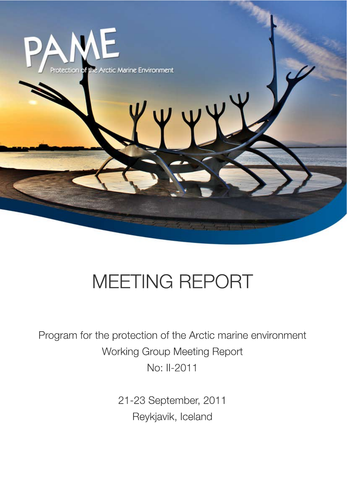

# MEETING REPORT

Program for the protection of the Arctic marine environment Working Group Meeting Report No: II-2011

> 21-23 September, 2011 Reykjavik, Iceland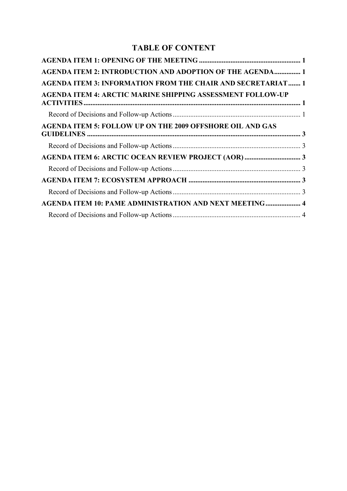# **TABLE OF CONTENT**

| <b>AGENDA ITEM 2: INTRODUCTION AND ADOPTION OF THE AGENDA 1</b>    |  |
|--------------------------------------------------------------------|--|
| <b>AGENDA ITEM 3: INFORMATION FROM THE CHAIR AND SECRETARIAT 1</b> |  |
| <b>AGENDA ITEM 4: ARCTIC MARINE SHIPPING ASSESSMENT FOLLOW-UP</b>  |  |
|                                                                    |  |
| <b>AGENDA ITEM 5: FOLLOW UP ON THE 2009 OFFSHORE OIL AND GAS</b>   |  |
|                                                                    |  |
|                                                                    |  |
|                                                                    |  |
|                                                                    |  |
|                                                                    |  |
| <b>AGENDA ITEM 10: PAME ADMINISTRATION AND NEXT MEETING 4</b>      |  |
|                                                                    |  |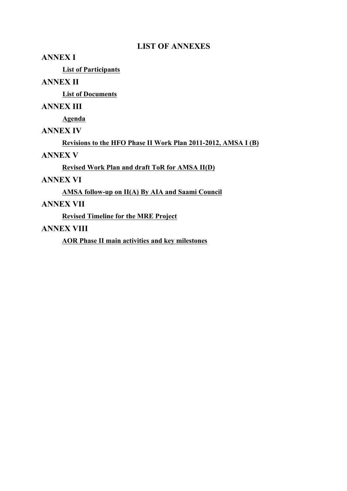# **LIST OF ANNEXES**

## **ANNEX I**

**List of Participants**

# **ANNEX II**

**List of Documents**

# **ANNEX III**

**Agenda**

# **ANNEX IV**

**Revisions to the HFO Phase II Work Plan 2011-2012, AMSA I (B)**

# **ANNEX V**

**Revised Work Plan and draft ToR for AMSA II(D)**

# **ANNEX VI**

**AMSA follow-up on II(A) By AIA and Saami Council**

# **ANNEX VII**

**Revised Timeline for the MRE Project**

# **ANNEX VIII**

**AOR Phase II main activities and key milestones**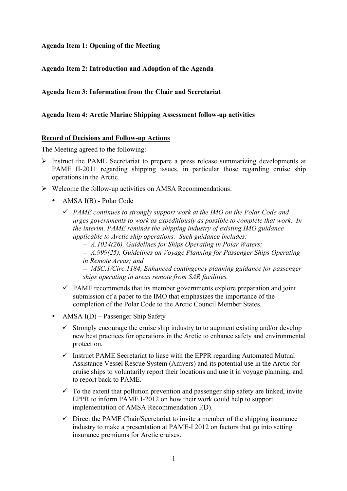## **Agenda Item 1: Opening of the Meeting**

## **Agenda Item 2: Introduction and Adoption of the Agenda**

## **Agenda Item 3: Information from the Chair and Secretariat**

#### **Agenda Item 4: Arctic Marine Shipping Assessment follow-up activities**

#### **Record of Decisions and Follow-up Actions**

The Meeting agreed to the following:

- ! Instruct the PAME Secretariat to prepare a press release summarizing developments at PAME II-2011 regarding shipping issues, in particular those regarding cruise ship operations in the Arctic.
- $\triangleright$  Welcome the follow-up activities on AMSA Recommendations:
	- AMSA I(B) Polar Code
		- " *PAME continues to strongly support work at the IMO on the Polar Code and urges governments to work as expeditiously as possible to complete that work. In the interim, PAME reminds the shipping industry of existing IMO guidance applicable to Arctic ship operations. Such guidance includes:*
			- *-- A.1024(26), Guidelines for Ships Operating in Polar Waters;*
			- *-- A.999(25), Guidelines on Voyage Planning for Passenger Ships Operating in Remote Areas; and*

*-- MSC.1/Circ.1184, Enhanced contingency planning guidance for passenger ships operating in areas remote from SAR facilities.*

- $\checkmark$  PAME recommends that its member governments explore preparation and joint submission of a paper to the IMO that emphasizes the importance of the completion of the Polar Code to the Arctic Council Member States.
- AMSA I(D) Passenger Ship Safety
	- $\checkmark$  Strongly encourage the cruise ship industry to to augment existing and/or develop new best practices for operations in the Arctic to enhance safety and environmental protection.
	- $\checkmark$  Instruct PAME Secretariat to liase with the EPPR regarding Automated Mutual Assistance Vessel Rescue System (Amvers) and its potential use in the Arctic for cruise ships to voluntarily report their locations and use it in voyage planning, and to report back to PAME.
	- $\checkmark$  To the extent that pollution prevention and passenger ship safety are linked, invite EPPR to inform PAME I-2012 on how their work could help to support implementation of AMSA Recommendation I(D).
	- $\checkmark$  Direct the PAME Chair/Secretariat to invite a member of the shipping insurance industry to make a presentation at PAME-I 2012 on factors that go into setting insurance premiums for Arctic cruises.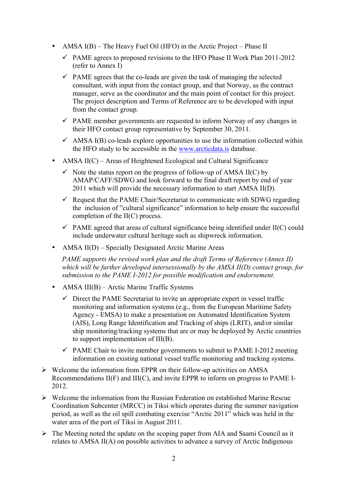- AMSA I(B) The Heavy Fuel Oil (HFO) in the Arctic Project Phase II
	- $\checkmark$  PAME agrees to proposed revisions to the HFO Phase II Work Plan 2011-2012 (refer to Annex I)
	- $\checkmark$  PAME agrees that the co-leads are given the task of managing the selected consultant, with input from the contact group, and that Norway, as the contract manager, serve as the coordinator and the main point of contact for this project. The project description and Terms of Reference are to be developed with input from the contact group.
	- $\checkmark$  PAME member governments are requested to inform Norway of any changes in their HFO contact group representative by September 30, 2011.
	- $\checkmark$  AMSA I(B) co-leads explore opportunities to use the information collected within the HFO study to be accessible in the www.arcticdata.is database.
- AMSA II(C) Areas of Heightened Ecological and Cultural Significance
	- $\checkmark$  Note the status report on the progress of follow-up of AMSA II(C) by AMAP/CAFF/SDWG and look forward to the final draft report by end of year 2011 which will provide the necessary information to start AMSA II(D).
	- $\checkmark$  Request that the PAME Chair/Secretariat to communicate with SDWG regarding the inclusion of "cultural significance" information to help ensure the successful completion of the II(C) process.
	- $\checkmark$  PAME agreed that areas of cultural significance being identified under II(C) could include underwater cultural heritage such as shipwreck information.
- AMSA II(D) Specially Designated Arctic Marine Areas

*PAME supports the revised work plan and the draft Terms of Reference (Annex II) which will be further developed intersessionally by the AMSA II(D) contact group, for submission to the PAME I-2012 for possible modification and endorsement.*

- AMSA III(B) Arctic Marine Traffic Systems
	- $\checkmark$  Direct the PAME Secretariat to invite an appropriate expert in vessel traffic monitoring and information systems (e.g., from the European Maritime Safety Agency - EMSA) to make a presentation on Automated Identification System (AIS), Long Range Identification and Tracking of ships (LRIT), and/or similar ship monitoring/tracking systems that are or may be deployed by Arctic countries to support implementation of III(B).
	- $\checkmark$  PAME Chair to invite member governments to submit to PAME I-2012 meeting information on existing national vessel traffic monitoring and tracking systems.
- $\triangleright$  Welcome the information from EPPR on their follow-up activities on AMSA Recommendations II(F) and III(C), and invite EPPR to inform on progress to PAME I-2012.
- $\triangleright$  Welcome the information from the Russian Federation on established Marine Rescue Coordination Subcenter (MRCC) in Tiksi which operates during the summer navigation period, as well as the oil spill combating exercise "Arctic 2011" which was held in the water area of the port of Tiksi in August 2011.
- $\triangleright$  The Meeting noted the update on the scoping paper from AIA and Saami Council as it relates to AMSA II(A) on possible activities to advance a survey of Arctic Indigenous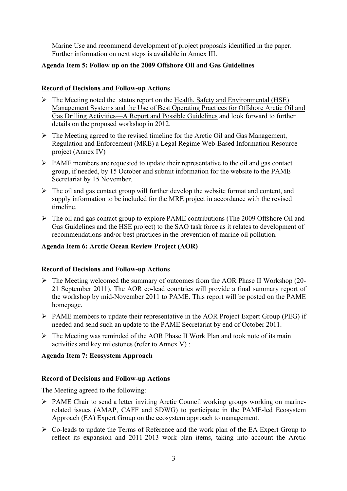Marine Use and recommend development of project proposals identified in the paper. Further information on next steps is available in Annex III.

## **Agenda Item 5: Follow up on the 2009 Offshore Oil and Gas Guidelines**

## **Record of Decisions and Follow-up Actions**

- $\triangleright$  The Meeting noted the status report on the Health, Safety and Environmental (HSE) Management Systems and the Use of Best Operating Practices for Offshore Arctic Oil and Gas Drilling Activities—A Report and Possible Guidelines and look forward to further details on the proposed workshop in 2012.
- $\triangleright$  The Meeting agreed to the revised timeline for the Arctic Oil and Gas Management, Regulation and Enforcement (MRE) a Legal Regime Web-Based Information Resource project (Annex IV)
- $\triangleright$  PAME members are requested to update their representative to the oil and gas contact group, if needed, by 15 October and submit information for the website to the PAME Secretariat by 15 November.
- $\triangleright$  The oil and gas contact group will further develop the website format and content, and supply information to be included for the MRE project in accordance with the revised timeline.
- ! The oil and gas contact group to explore PAME contributions (The 2009 Offshore Oil and Gas Guidelines and the HSE project) to the SAO task force as it relates to development of recommendations and/or best practices in the prevention of marine oil pollution.

## **Agenda Item 6: Arctic Ocean Review Project (AOR)**

# **Record of Decisions and Follow-up Actions**

- $\triangleright$  The Meeting welcomed the summary of outcomes from the AOR Phase II Workshop (20-21 September 2011). The AOR co-lead countries will provide a final summary report of the workshop by mid-November 2011 to PAME. This report will be posted on the PAME homepage.
- ! PAME members to update their representative in the AOR Project Expert Group (PEG) if needed and send such an update to the PAME Secretariat by end of October 2011.
- $\triangleright$  The Meeting was reminded of the AOR Phase II Work Plan and took note of its main activities and key milestones (refer to Annex V) :

# **Agenda Item 7: Ecosystem Approach**

## **Record of Decisions and Follow-up Actions**

The Meeting agreed to the following:

- ! PAME Chair to send a letter inviting Arctic Council working groups working on marinerelated issues (AMAP, CAFF and SDWG) to participate in the PAME-led Ecosystem Approach (EA) Expert Group on the ecosystem approach to management.
- ! Co-leads to update the Terms of Reference and the work plan of the EA Expert Group to reflect its expansion and 2011-2013 work plan items, taking into account the Arctic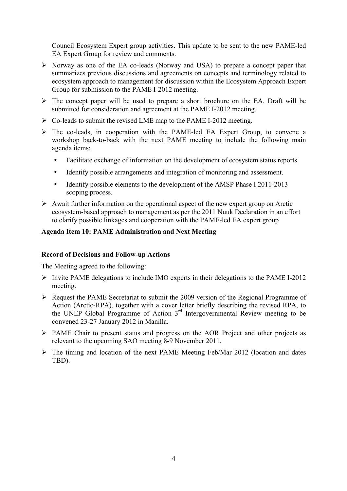Council Ecosystem Expert group activities. This update to be sent to the new PAME-led EA Expert Group for review and comments.

- $\triangleright$  Norway as one of the EA co-leads (Norway and USA) to prepare a concept paper that summarizes previous discussions and agreements on concepts and terminology related to ecosystem approach to management for discussion within the Ecosystem Approach Expert Group for submission to the PAME I-2012 meeting.
- $\triangleright$  The concept paper will be used to prepare a short brochure on the EA. Draft will be submitted for consideration and agreement at the PAME I-2012 meeting.
- $\triangleright$  Co-leads to submit the revised LME map to the PAME I-2012 meeting.
- $\triangleright$  The co-leads, in cooperation with the PAME-led EA Expert Group, to convene a workshop back-to-back with the next PAME meeting to include the following main agenda items:
	- Facilitate exchange of information on the development of ecosystem status reports.
	- Identify possible arrangements and integration of monitoring and assessment.
	- Identify possible elements to the development of the AMSP Phase I 2011-2013 scoping process.
- $\triangleright$  Await further information on the operational aspect of the new expert group on Arctic ecosystem-based approach to management as per the 2011 Nuuk Declaration in an effort to clarify possible linkages and cooperation with the PAME-led EA expert group

## **Agenda Item 10: PAME Administration and Next Meeting**

#### **Record of Decisions and Follow-up Actions**

The Meeting agreed to the following:

- ! Invite PAME delegations to include IMO experts in their delegations to the PAME I-2012 meeting.
- ! Request the PAME Secretariat to submit the 2009 version of the Regional Programme of Action (Arctic-RPA), together with a cover letter briefly describing the revised RPA, to the UNEP Global Programme of Action  $3<sup>rd</sup>$  Intergovernmental Review meeting to be convened 23-27 January 2012 in Manilla.
- ! PAME Chair to present status and progress on the AOR Project and other projects as relevant to the upcoming SAO meeting 8-9 November 2011.
- $\triangleright$  The timing and location of the next PAME Meeting Feb/Mar 2012 (location and dates TBD).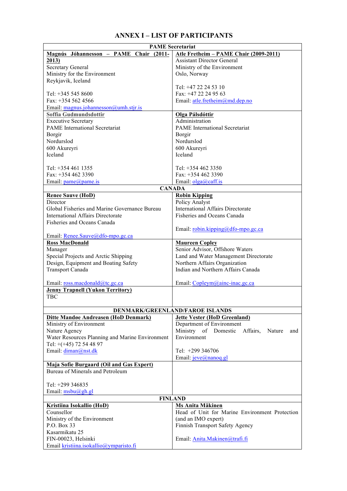# **ANNEX I – LIST OF PARTICIPANTS**

| <b>PAME Secretariat</b>                         |                                                   |  |
|-------------------------------------------------|---------------------------------------------------|--|
| Magnús Jóhannesson - PAME Chair (2011-          | Atle Fretheim - PAME Chair (2009-2011)            |  |
| 2013)                                           | <b>Assistant Director General</b>                 |  |
| Secretary General                               | Ministry of the Environment                       |  |
| Ministry for the Environment                    | Oslo, Norway                                      |  |
| Reykjavik, Iceland                              |                                                   |  |
|                                                 | Tel: +47 22 24 53 10                              |  |
| Tel: $+345$ 545 8600                            | Fax: +47 22 24 95 63                              |  |
| Fax: +354 562 4566                              |                                                   |  |
|                                                 | Email: atle.fretheim@md.dep.no                    |  |
| Email: magnus.johannesson@umh.stjr.is           |                                                   |  |
| Soffia Gudmundsdottir                           | <b>Olga Pálsdóttir</b>                            |  |
| <b>Executive Secretary</b>                      | Administration                                    |  |
| <b>PAME</b> International Secretariat           | <b>PAME</b> International Secretariat             |  |
| Borgir                                          | Borgir                                            |  |
| Nordurslod                                      | Nordurslod                                        |  |
| 600 Akureyri                                    | 600 Akureyri                                      |  |
| Iceland                                         | Iceland                                           |  |
|                                                 |                                                   |  |
| Tel: $+3544611355$                              | Tel: $+3544623350$                                |  |
| Fax: +354 462 3390                              | Fax: $+3544623390$                                |  |
| Email: $pame@pame.is$                           | Email: $olga@caff.is$                             |  |
|                                                 | <b>CANADA</b>                                     |  |
| <b>Renee Sauve (HoD)</b>                        | <b>Robin Kipping</b>                              |  |
| Director                                        | Policy Analyst                                    |  |
| Global Fisheries and Marine Governance Bureau   | <b>International Affairs Directorate</b>          |  |
| <b>International Affairs Directorate</b>        | Fisheries and Oceans Canada                       |  |
| Fisheries and Oceans Canada                     |                                                   |  |
|                                                 |                                                   |  |
|                                                 | Email: robin.kipping@dfo-mpo.gc.ca                |  |
| Email: Renee.Sauve@dfo-mpo.gc.ca                |                                                   |  |
| <b>Ross MacDonald</b>                           | <b>Maureen Copley</b>                             |  |
| Manager                                         | Senior Advisor, Offshore Waters                   |  |
| Special Projects and Arctic Shipping            | Land and Water Management Directorate             |  |
| Design, Equipment and Boating Safety            | Northern Affairs Organization                     |  |
| Transport Canada                                | Indian and Northern Affairs Canada                |  |
|                                                 |                                                   |  |
| Email: ross.macdonald@tc.gc.ca                  | Email: Copleym@ainc-inac.gc.ca                    |  |
| <b>Jenny Trapnell (Yukon Territory)</b>         |                                                   |  |
| <b>TBC</b>                                      |                                                   |  |
|                                                 |                                                   |  |
|                                                 | DENMARK/GREENLAND/FAROE ISLANDS                   |  |
| Ditte Mandøe Andreasen (HoD Denmark)            | <b>Jette Vester (HoD Greenland)</b>               |  |
| Ministry of Environment                         | Department of Environment                         |  |
| Nature Agency                                   | Ministry of Domestic<br>Affairs,<br>Nature<br>and |  |
| Water Resources Planning and Marine Environment | Environment                                       |  |
| Tel: $+(+45)$ 72 54 48 97                       |                                                   |  |
|                                                 |                                                   |  |
| Email: diman@nst.dk                             | Tel: $+299\,346706$                               |  |
|                                                 | Email: jeve@nanoq.gl                              |  |
| Maja Sofie Burgaard (Oil and Gas Expert)        |                                                   |  |
| Bureau of Minerals and Petroleum                |                                                   |  |
|                                                 |                                                   |  |
| Tel: +299 346835                                |                                                   |  |
| Email: $msbu(@gh.gl)$                           |                                                   |  |
|                                                 | <b>FINLAND</b>                                    |  |
| <b>Kristiina Isokallio (HoD)</b>                | Ms Anita Mäkinen                                  |  |
| Counsellor                                      | Head of Unit for Marine Environment Protection    |  |
| Ministry of the Environment                     | (and an IMO expert)                               |  |
| P.O. Box 33                                     | Finnish Transport Safety Agency                   |  |
| Kasarmikatu 25                                  |                                                   |  |
| FIN-00023, Helsinki                             | Email: Anita.Makinen@trafi.fi                     |  |
| Email kristiina.isokallio@ymparisto.fi          |                                                   |  |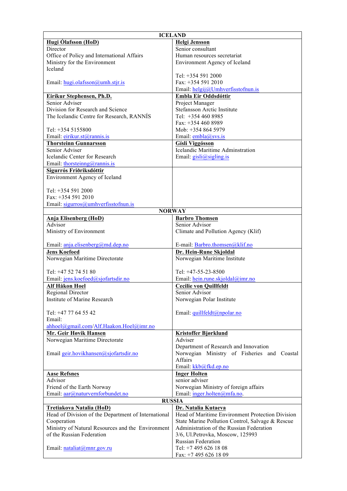| <b>ICELAND</b>                                           |                                                  |  |  |
|----------------------------------------------------------|--------------------------------------------------|--|--|
| Hugi Ólafsson (HoD)                                      | <b>Helgi Jensson</b>                             |  |  |
| Director                                                 | Senior consultant                                |  |  |
| Office of Policy and International Affairs               | Human resources secretariat                      |  |  |
| Ministry for the Environment                             | Environment Agency of Iceland                    |  |  |
| Iceland                                                  |                                                  |  |  |
|                                                          | Tel: +354 591 2000                               |  |  |
| Email: hugi.olafsson@umh.stjr.is                         | Fax: +354 591 2010                               |  |  |
|                                                          | Email: helgij@Umhverfisstofnun.is                |  |  |
| Eiríkur Stephensen, Ph.D.                                | Embla Eir Oddsdóttir                             |  |  |
| Senior Adviser                                           | Project Manager                                  |  |  |
| Division for Research and Science                        | Stefansson Arctic Institute                      |  |  |
| The Icelandic Centre for Research, RANNIS                | Tel: $+3544608985$                               |  |  |
|                                                          | Fax: +354 460 8989                               |  |  |
| Tel: +354 5155800                                        | Mob: +354 864 5979                               |  |  |
| Email: <i>eirikur.st@rannis.is</i>                       | Email: embla@svs.is                              |  |  |
| <b>Thorsteinn Gunnarsson</b>                             | <b>Gísli Viggósson</b>                           |  |  |
| Senior Adviser                                           | <b>Icelandic Maritime Adminstration</b>          |  |  |
| Icelandic Center for Research                            | Email: gisli@sigling.is                          |  |  |
| Email: thorsteinng@rannis.is                             |                                                  |  |  |
| Sigurrós Friðriksdóttir                                  |                                                  |  |  |
| Environment Agency of Iceland                            |                                                  |  |  |
|                                                          |                                                  |  |  |
| Tel: +354 591 2000                                       |                                                  |  |  |
| Fax: +354 591 2010                                       |                                                  |  |  |
| Email: $sigurros@umbverfisstofnun.is$                    |                                                  |  |  |
|                                                          | <b>NORWAY</b>                                    |  |  |
| <b>Anja Elisenberg (HoD)</b>                             | <b>Barbro Thomsen</b>                            |  |  |
| Advisor                                                  | Senior Advisor                                   |  |  |
| Ministry of Environment                                  | Climate and Pollution Agency (Klif)              |  |  |
|                                                          |                                                  |  |  |
| Email: anja.elisenberg@md.dep.no                         | E-mail: Barbro.thomsen@klif.no                   |  |  |
| <b>Jens Koefoed</b>                                      | Dr. Hein-Rune Skjoldal                           |  |  |
| Norwegian Maritime Directorate                           | Norwegian Maritime Institute                     |  |  |
|                                                          |                                                  |  |  |
| Tel: $+47$ 52 74 51 80                                   | Tel: $+47-55-23-8500$                            |  |  |
| Email: jens.koefoed@sjofartsdir.no                       | Email: hein.rune.skjoldal@imr.no                 |  |  |
| Alf Håkon Hoel                                           | <b>Cecilie von Quillfeldt</b><br>Senior Advisor  |  |  |
| <b>Regional Director</b><br>Institute of Marine Research |                                                  |  |  |
|                                                          | Norwegian Polar Institute                        |  |  |
| Tel: +47 77 64 55 42                                     | Email: quillfeldt@npolar.no                      |  |  |
| Email:                                                   |                                                  |  |  |
| ahhoel@gmail.com/Alf.Haakon.Hoel@imr.no                  |                                                  |  |  |
| Mr. Geir Høvik Hansen                                    | <b>Kristoffer Bjørklund</b>                      |  |  |
| Norwegian Maritime Directorate                           | Adviser                                          |  |  |
|                                                          | Department of Research and Innovation            |  |  |
| Email geir.hovikhansen@sjofartsdir.no                    | Norwegian Ministry of Fisheries and Coastal      |  |  |
|                                                          | Affairs                                          |  |  |
|                                                          | Email: kkb@fkd.ep.no                             |  |  |
| <b>Aase Refsnes</b>                                      | <b>Inger Holten</b>                              |  |  |
| Advisor                                                  | senior adviser                                   |  |  |
| Friend of the Earth Norway                               | Norwegian Ministry of foreign affairs            |  |  |
| Email: aar@naturvernforbundet.no                         | Email: inger.holten@mfa.no.                      |  |  |
| <b>RUSSIA</b>                                            |                                                  |  |  |
| Tretiakova Natalia (HoD)                                 | Dr. Natalia Kutaeva                              |  |  |
| Head of Division of the Department of International      | Head of Maritime Environment Protection Division |  |  |
| Cooperation                                              | State Marine Pollution Control, Salvage & Rescue |  |  |
| Ministry of Natural Resources and the Environment        | Administration of the Russian Federation         |  |  |
| of the Russian Federation                                | 3/6, Ul.Petrovka, Moscow, 125993                 |  |  |
|                                                          | <b>Russian Federation</b>                        |  |  |
| Email: nataliat@mnr.gov.ru                               | Tel: +7 495 626 18 08                            |  |  |
|                                                          | Fax: +7 495 626 18 09                            |  |  |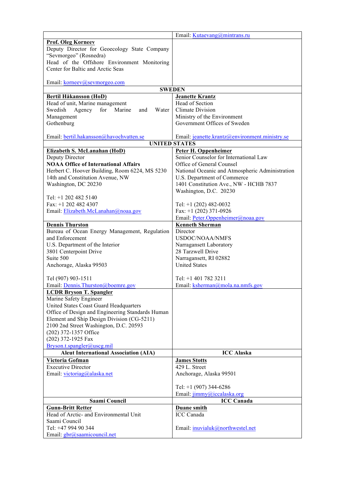| <b>Prof. Oleg Korneev</b><br>Deputy Director for Geoecology State Company<br>"Sevmorgeo" (Rosnedra)<br>Head of the Offshore Environment Monitoring<br>Center for Baltic and Arctic Seas<br>Email: korneev@sevmorgeo.com<br><b>SWEDEN</b><br><b>Jeanette Krantz</b><br>Bertil Håkansson (HoD)<br>Head of Section<br>Head of unit, Marine management<br>Agency<br>for<br>Marine<br><b>Climate Division</b><br>Swedish<br>Water<br>and<br>Ministry of the Environment<br>Management<br>Gothenburg<br>Government Offices of Sweden<br>Email: bertil.hakansson@havochvatten.se<br>Email: jeanette.krantz@environment.ministry.se<br><b>UNITED STATES</b><br>Elizabeth S. McLanahan (HoD)<br>Peter H. Oppenheimer<br>Senior Counselor for International Law<br>Deputy Director<br><b>NOAA Office of International Affairs</b><br>Office of General Counsel<br>Herbert C. Hoover Building, Room 6224, MS 5230<br>National Oceanic and Atmospheric Administration<br>14th and Constitution Avenue, NW<br>U.S. Department of Commerce<br>Washington, DC 20230<br>1401 Constitution Ave., NW - HCHB 7837<br>Washington, D.C. 20230<br>Tel: +1 202 482 5140<br>Fax: $+1$ 202 482 4307<br>Tel: $+1$ (202) 482-0032<br>Fax: $+1$ (202) 371-0926<br>Email: Elizabeth.McLanahan@noaa.gov<br>Email: Peter.Oppenheimer@noaa.gov<br><b>Kenneth Sherman</b><br><b>Dennis Thurston</b><br>Bureau of Ocean Energy Management, Regulation<br>Director<br>and Enforcement<br><b>USDOC/NOAA/NMFS</b><br>U.S. Department of the Interior<br>Narragansett Laboratory<br>28 Tarzwell Drive<br>3801 Centerpoint Drive<br>Suite 500<br>Narragansett, RI 02882<br><b>United States</b><br>Anchorage, Alaska 99503<br>Tel (907) 903-1511<br>Tel: $+1$ 401 782 3211<br>Email: Dennis.Thurston@boemre.gov<br>Email: ksherman@mola.na.nmfs.gov<br><b>LCDR Bryson T. Spangler</b><br>Marine Safety Engineer<br>United States Coast Guard Headquarters<br>Office of Design and Engineering Standards Human<br>Element and Ship Design Division (CG-5211)<br>2100 2nd Street Washington, D.C. 20593<br>(202) 372-1357 Office<br>(202) 372-1925 Fax<br>Bryson.t.spangler@uscg.mil<br><b>Aleut International Association (AIA)</b><br><b>ICC Alaska</b><br>Victoria Gofman<br><b>James Stotts</b><br><b>Executive Director</b><br>429 L. Street<br>Email: victoriag@alaska.net<br>Anchorage, Alaska 99501<br>Tel: $+1$ (907) 344-6286<br>Email: jimmy@iccalaska.org<br>Saami Council<br><b>ICC Canada</b> |                          | Email: Kutaevang@mintrans.ru |  |
|--------------------------------------------------------------------------------------------------------------------------------------------------------------------------------------------------------------------------------------------------------------------------------------------------------------------------------------------------------------------------------------------------------------------------------------------------------------------------------------------------------------------------------------------------------------------------------------------------------------------------------------------------------------------------------------------------------------------------------------------------------------------------------------------------------------------------------------------------------------------------------------------------------------------------------------------------------------------------------------------------------------------------------------------------------------------------------------------------------------------------------------------------------------------------------------------------------------------------------------------------------------------------------------------------------------------------------------------------------------------------------------------------------------------------------------------------------------------------------------------------------------------------------------------------------------------------------------------------------------------------------------------------------------------------------------------------------------------------------------------------------------------------------------------------------------------------------------------------------------------------------------------------------------------------------------------------------------------------------------------------------------------------------------------------------------------------------------------------------------------------------------------------------------------------------------------------------------------------------------------------------------------------------------------------------------------------------------------------------------------------------------------------------------------------------------------------------------------|--------------------------|------------------------------|--|
|                                                                                                                                                                                                                                                                                                                                                                                                                                                                                                                                                                                                                                                                                                                                                                                                                                                                                                                                                                                                                                                                                                                                                                                                                                                                                                                                                                                                                                                                                                                                                                                                                                                                                                                                                                                                                                                                                                                                                                                                                                                                                                                                                                                                                                                                                                                                                                                                                                                                    |                          |                              |  |
|                                                                                                                                                                                                                                                                                                                                                                                                                                                                                                                                                                                                                                                                                                                                                                                                                                                                                                                                                                                                                                                                                                                                                                                                                                                                                                                                                                                                                                                                                                                                                                                                                                                                                                                                                                                                                                                                                                                                                                                                                                                                                                                                                                                                                                                                                                                                                                                                                                                                    |                          |                              |  |
|                                                                                                                                                                                                                                                                                                                                                                                                                                                                                                                                                                                                                                                                                                                                                                                                                                                                                                                                                                                                                                                                                                                                                                                                                                                                                                                                                                                                                                                                                                                                                                                                                                                                                                                                                                                                                                                                                                                                                                                                                                                                                                                                                                                                                                                                                                                                                                                                                                                                    |                          |                              |  |
|                                                                                                                                                                                                                                                                                                                                                                                                                                                                                                                                                                                                                                                                                                                                                                                                                                                                                                                                                                                                                                                                                                                                                                                                                                                                                                                                                                                                                                                                                                                                                                                                                                                                                                                                                                                                                                                                                                                                                                                                                                                                                                                                                                                                                                                                                                                                                                                                                                                                    |                          |                              |  |
|                                                                                                                                                                                                                                                                                                                                                                                                                                                                                                                                                                                                                                                                                                                                                                                                                                                                                                                                                                                                                                                                                                                                                                                                                                                                                                                                                                                                                                                                                                                                                                                                                                                                                                                                                                                                                                                                                                                                                                                                                                                                                                                                                                                                                                                                                                                                                                                                                                                                    |                          |                              |  |
|                                                                                                                                                                                                                                                                                                                                                                                                                                                                                                                                                                                                                                                                                                                                                                                                                                                                                                                                                                                                                                                                                                                                                                                                                                                                                                                                                                                                                                                                                                                                                                                                                                                                                                                                                                                                                                                                                                                                                                                                                                                                                                                                                                                                                                                                                                                                                                                                                                                                    |                          |                              |  |
|                                                                                                                                                                                                                                                                                                                                                                                                                                                                                                                                                                                                                                                                                                                                                                                                                                                                                                                                                                                                                                                                                                                                                                                                                                                                                                                                                                                                                                                                                                                                                                                                                                                                                                                                                                                                                                                                                                                                                                                                                                                                                                                                                                                                                                                                                                                                                                                                                                                                    |                          |                              |  |
|                                                                                                                                                                                                                                                                                                                                                                                                                                                                                                                                                                                                                                                                                                                                                                                                                                                                                                                                                                                                                                                                                                                                                                                                                                                                                                                                                                                                                                                                                                                                                                                                                                                                                                                                                                                                                                                                                                                                                                                                                                                                                                                                                                                                                                                                                                                                                                                                                                                                    |                          |                              |  |
|                                                                                                                                                                                                                                                                                                                                                                                                                                                                                                                                                                                                                                                                                                                                                                                                                                                                                                                                                                                                                                                                                                                                                                                                                                                                                                                                                                                                                                                                                                                                                                                                                                                                                                                                                                                                                                                                                                                                                                                                                                                                                                                                                                                                                                                                                                                                                                                                                                                                    |                          |                              |  |
|                                                                                                                                                                                                                                                                                                                                                                                                                                                                                                                                                                                                                                                                                                                                                                                                                                                                                                                                                                                                                                                                                                                                                                                                                                                                                                                                                                                                                                                                                                                                                                                                                                                                                                                                                                                                                                                                                                                                                                                                                                                                                                                                                                                                                                                                                                                                                                                                                                                                    |                          |                              |  |
|                                                                                                                                                                                                                                                                                                                                                                                                                                                                                                                                                                                                                                                                                                                                                                                                                                                                                                                                                                                                                                                                                                                                                                                                                                                                                                                                                                                                                                                                                                                                                                                                                                                                                                                                                                                                                                                                                                                                                                                                                                                                                                                                                                                                                                                                                                                                                                                                                                                                    |                          |                              |  |
|                                                                                                                                                                                                                                                                                                                                                                                                                                                                                                                                                                                                                                                                                                                                                                                                                                                                                                                                                                                                                                                                                                                                                                                                                                                                                                                                                                                                                                                                                                                                                                                                                                                                                                                                                                                                                                                                                                                                                                                                                                                                                                                                                                                                                                                                                                                                                                                                                                                                    |                          |                              |  |
|                                                                                                                                                                                                                                                                                                                                                                                                                                                                                                                                                                                                                                                                                                                                                                                                                                                                                                                                                                                                                                                                                                                                                                                                                                                                                                                                                                                                                                                                                                                                                                                                                                                                                                                                                                                                                                                                                                                                                                                                                                                                                                                                                                                                                                                                                                                                                                                                                                                                    |                          |                              |  |
|                                                                                                                                                                                                                                                                                                                                                                                                                                                                                                                                                                                                                                                                                                                                                                                                                                                                                                                                                                                                                                                                                                                                                                                                                                                                                                                                                                                                                                                                                                                                                                                                                                                                                                                                                                                                                                                                                                                                                                                                                                                                                                                                                                                                                                                                                                                                                                                                                                                                    |                          |                              |  |
|                                                                                                                                                                                                                                                                                                                                                                                                                                                                                                                                                                                                                                                                                                                                                                                                                                                                                                                                                                                                                                                                                                                                                                                                                                                                                                                                                                                                                                                                                                                                                                                                                                                                                                                                                                                                                                                                                                                                                                                                                                                                                                                                                                                                                                                                                                                                                                                                                                                                    |                          |                              |  |
|                                                                                                                                                                                                                                                                                                                                                                                                                                                                                                                                                                                                                                                                                                                                                                                                                                                                                                                                                                                                                                                                                                                                                                                                                                                                                                                                                                                                                                                                                                                                                                                                                                                                                                                                                                                                                                                                                                                                                                                                                                                                                                                                                                                                                                                                                                                                                                                                                                                                    |                          |                              |  |
|                                                                                                                                                                                                                                                                                                                                                                                                                                                                                                                                                                                                                                                                                                                                                                                                                                                                                                                                                                                                                                                                                                                                                                                                                                                                                                                                                                                                                                                                                                                                                                                                                                                                                                                                                                                                                                                                                                                                                                                                                                                                                                                                                                                                                                                                                                                                                                                                                                                                    |                          |                              |  |
|                                                                                                                                                                                                                                                                                                                                                                                                                                                                                                                                                                                                                                                                                                                                                                                                                                                                                                                                                                                                                                                                                                                                                                                                                                                                                                                                                                                                                                                                                                                                                                                                                                                                                                                                                                                                                                                                                                                                                                                                                                                                                                                                                                                                                                                                                                                                                                                                                                                                    |                          |                              |  |
|                                                                                                                                                                                                                                                                                                                                                                                                                                                                                                                                                                                                                                                                                                                                                                                                                                                                                                                                                                                                                                                                                                                                                                                                                                                                                                                                                                                                                                                                                                                                                                                                                                                                                                                                                                                                                                                                                                                                                                                                                                                                                                                                                                                                                                                                                                                                                                                                                                                                    |                          |                              |  |
|                                                                                                                                                                                                                                                                                                                                                                                                                                                                                                                                                                                                                                                                                                                                                                                                                                                                                                                                                                                                                                                                                                                                                                                                                                                                                                                                                                                                                                                                                                                                                                                                                                                                                                                                                                                                                                                                                                                                                                                                                                                                                                                                                                                                                                                                                                                                                                                                                                                                    |                          |                              |  |
|                                                                                                                                                                                                                                                                                                                                                                                                                                                                                                                                                                                                                                                                                                                                                                                                                                                                                                                                                                                                                                                                                                                                                                                                                                                                                                                                                                                                                                                                                                                                                                                                                                                                                                                                                                                                                                                                                                                                                                                                                                                                                                                                                                                                                                                                                                                                                                                                                                                                    |                          |                              |  |
|                                                                                                                                                                                                                                                                                                                                                                                                                                                                                                                                                                                                                                                                                                                                                                                                                                                                                                                                                                                                                                                                                                                                                                                                                                                                                                                                                                                                                                                                                                                                                                                                                                                                                                                                                                                                                                                                                                                                                                                                                                                                                                                                                                                                                                                                                                                                                                                                                                                                    |                          |                              |  |
|                                                                                                                                                                                                                                                                                                                                                                                                                                                                                                                                                                                                                                                                                                                                                                                                                                                                                                                                                                                                                                                                                                                                                                                                                                                                                                                                                                                                                                                                                                                                                                                                                                                                                                                                                                                                                                                                                                                                                                                                                                                                                                                                                                                                                                                                                                                                                                                                                                                                    |                          |                              |  |
|                                                                                                                                                                                                                                                                                                                                                                                                                                                                                                                                                                                                                                                                                                                                                                                                                                                                                                                                                                                                                                                                                                                                                                                                                                                                                                                                                                                                                                                                                                                                                                                                                                                                                                                                                                                                                                                                                                                                                                                                                                                                                                                                                                                                                                                                                                                                                                                                                                                                    |                          |                              |  |
|                                                                                                                                                                                                                                                                                                                                                                                                                                                                                                                                                                                                                                                                                                                                                                                                                                                                                                                                                                                                                                                                                                                                                                                                                                                                                                                                                                                                                                                                                                                                                                                                                                                                                                                                                                                                                                                                                                                                                                                                                                                                                                                                                                                                                                                                                                                                                                                                                                                                    |                          |                              |  |
|                                                                                                                                                                                                                                                                                                                                                                                                                                                                                                                                                                                                                                                                                                                                                                                                                                                                                                                                                                                                                                                                                                                                                                                                                                                                                                                                                                                                                                                                                                                                                                                                                                                                                                                                                                                                                                                                                                                                                                                                                                                                                                                                                                                                                                                                                                                                                                                                                                                                    |                          |                              |  |
|                                                                                                                                                                                                                                                                                                                                                                                                                                                                                                                                                                                                                                                                                                                                                                                                                                                                                                                                                                                                                                                                                                                                                                                                                                                                                                                                                                                                                                                                                                                                                                                                                                                                                                                                                                                                                                                                                                                                                                                                                                                                                                                                                                                                                                                                                                                                                                                                                                                                    |                          |                              |  |
|                                                                                                                                                                                                                                                                                                                                                                                                                                                                                                                                                                                                                                                                                                                                                                                                                                                                                                                                                                                                                                                                                                                                                                                                                                                                                                                                                                                                                                                                                                                                                                                                                                                                                                                                                                                                                                                                                                                                                                                                                                                                                                                                                                                                                                                                                                                                                                                                                                                                    |                          |                              |  |
|                                                                                                                                                                                                                                                                                                                                                                                                                                                                                                                                                                                                                                                                                                                                                                                                                                                                                                                                                                                                                                                                                                                                                                                                                                                                                                                                                                                                                                                                                                                                                                                                                                                                                                                                                                                                                                                                                                                                                                                                                                                                                                                                                                                                                                                                                                                                                                                                                                                                    |                          |                              |  |
|                                                                                                                                                                                                                                                                                                                                                                                                                                                                                                                                                                                                                                                                                                                                                                                                                                                                                                                                                                                                                                                                                                                                                                                                                                                                                                                                                                                                                                                                                                                                                                                                                                                                                                                                                                                                                                                                                                                                                                                                                                                                                                                                                                                                                                                                                                                                                                                                                                                                    |                          |                              |  |
|                                                                                                                                                                                                                                                                                                                                                                                                                                                                                                                                                                                                                                                                                                                                                                                                                                                                                                                                                                                                                                                                                                                                                                                                                                                                                                                                                                                                                                                                                                                                                                                                                                                                                                                                                                                                                                                                                                                                                                                                                                                                                                                                                                                                                                                                                                                                                                                                                                                                    |                          |                              |  |
|                                                                                                                                                                                                                                                                                                                                                                                                                                                                                                                                                                                                                                                                                                                                                                                                                                                                                                                                                                                                                                                                                                                                                                                                                                                                                                                                                                                                                                                                                                                                                                                                                                                                                                                                                                                                                                                                                                                                                                                                                                                                                                                                                                                                                                                                                                                                                                                                                                                                    |                          |                              |  |
|                                                                                                                                                                                                                                                                                                                                                                                                                                                                                                                                                                                                                                                                                                                                                                                                                                                                                                                                                                                                                                                                                                                                                                                                                                                                                                                                                                                                                                                                                                                                                                                                                                                                                                                                                                                                                                                                                                                                                                                                                                                                                                                                                                                                                                                                                                                                                                                                                                                                    |                          |                              |  |
|                                                                                                                                                                                                                                                                                                                                                                                                                                                                                                                                                                                                                                                                                                                                                                                                                                                                                                                                                                                                                                                                                                                                                                                                                                                                                                                                                                                                                                                                                                                                                                                                                                                                                                                                                                                                                                                                                                                                                                                                                                                                                                                                                                                                                                                                                                                                                                                                                                                                    |                          |                              |  |
|                                                                                                                                                                                                                                                                                                                                                                                                                                                                                                                                                                                                                                                                                                                                                                                                                                                                                                                                                                                                                                                                                                                                                                                                                                                                                                                                                                                                                                                                                                                                                                                                                                                                                                                                                                                                                                                                                                                                                                                                                                                                                                                                                                                                                                                                                                                                                                                                                                                                    |                          |                              |  |
|                                                                                                                                                                                                                                                                                                                                                                                                                                                                                                                                                                                                                                                                                                                                                                                                                                                                                                                                                                                                                                                                                                                                                                                                                                                                                                                                                                                                                                                                                                                                                                                                                                                                                                                                                                                                                                                                                                                                                                                                                                                                                                                                                                                                                                                                                                                                                                                                                                                                    |                          |                              |  |
|                                                                                                                                                                                                                                                                                                                                                                                                                                                                                                                                                                                                                                                                                                                                                                                                                                                                                                                                                                                                                                                                                                                                                                                                                                                                                                                                                                                                                                                                                                                                                                                                                                                                                                                                                                                                                                                                                                                                                                                                                                                                                                                                                                                                                                                                                                                                                                                                                                                                    |                          |                              |  |
|                                                                                                                                                                                                                                                                                                                                                                                                                                                                                                                                                                                                                                                                                                                                                                                                                                                                                                                                                                                                                                                                                                                                                                                                                                                                                                                                                                                                                                                                                                                                                                                                                                                                                                                                                                                                                                                                                                                                                                                                                                                                                                                                                                                                                                                                                                                                                                                                                                                                    |                          |                              |  |
|                                                                                                                                                                                                                                                                                                                                                                                                                                                                                                                                                                                                                                                                                                                                                                                                                                                                                                                                                                                                                                                                                                                                                                                                                                                                                                                                                                                                                                                                                                                                                                                                                                                                                                                                                                                                                                                                                                                                                                                                                                                                                                                                                                                                                                                                                                                                                                                                                                                                    |                          |                              |  |
|                                                                                                                                                                                                                                                                                                                                                                                                                                                                                                                                                                                                                                                                                                                                                                                                                                                                                                                                                                                                                                                                                                                                                                                                                                                                                                                                                                                                                                                                                                                                                                                                                                                                                                                                                                                                                                                                                                                                                                                                                                                                                                                                                                                                                                                                                                                                                                                                                                                                    |                          |                              |  |
|                                                                                                                                                                                                                                                                                                                                                                                                                                                                                                                                                                                                                                                                                                                                                                                                                                                                                                                                                                                                                                                                                                                                                                                                                                                                                                                                                                                                                                                                                                                                                                                                                                                                                                                                                                                                                                                                                                                                                                                                                                                                                                                                                                                                                                                                                                                                                                                                                                                                    |                          |                              |  |
|                                                                                                                                                                                                                                                                                                                                                                                                                                                                                                                                                                                                                                                                                                                                                                                                                                                                                                                                                                                                                                                                                                                                                                                                                                                                                                                                                                                                                                                                                                                                                                                                                                                                                                                                                                                                                                                                                                                                                                                                                                                                                                                                                                                                                                                                                                                                                                                                                                                                    |                          |                              |  |
|                                                                                                                                                                                                                                                                                                                                                                                                                                                                                                                                                                                                                                                                                                                                                                                                                                                                                                                                                                                                                                                                                                                                                                                                                                                                                                                                                                                                                                                                                                                                                                                                                                                                                                                                                                                                                                                                                                                                                                                                                                                                                                                                                                                                                                                                                                                                                                                                                                                                    |                          |                              |  |
|                                                                                                                                                                                                                                                                                                                                                                                                                                                                                                                                                                                                                                                                                                                                                                                                                                                                                                                                                                                                                                                                                                                                                                                                                                                                                                                                                                                                                                                                                                                                                                                                                                                                                                                                                                                                                                                                                                                                                                                                                                                                                                                                                                                                                                                                                                                                                                                                                                                                    |                          |                              |  |
|                                                                                                                                                                                                                                                                                                                                                                                                                                                                                                                                                                                                                                                                                                                                                                                                                                                                                                                                                                                                                                                                                                                                                                                                                                                                                                                                                                                                                                                                                                                                                                                                                                                                                                                                                                                                                                                                                                                                                                                                                                                                                                                                                                                                                                                                                                                                                                                                                                                                    |                          |                              |  |
|                                                                                                                                                                                                                                                                                                                                                                                                                                                                                                                                                                                                                                                                                                                                                                                                                                                                                                                                                                                                                                                                                                                                                                                                                                                                                                                                                                                                                                                                                                                                                                                                                                                                                                                                                                                                                                                                                                                                                                                                                                                                                                                                                                                                                                                                                                                                                                                                                                                                    |                          |                              |  |
|                                                                                                                                                                                                                                                                                                                                                                                                                                                                                                                                                                                                                                                                                                                                                                                                                                                                                                                                                                                                                                                                                                                                                                                                                                                                                                                                                                                                                                                                                                                                                                                                                                                                                                                                                                                                                                                                                                                                                                                                                                                                                                                                                                                                                                                                                                                                                                                                                                                                    |                          |                              |  |
|                                                                                                                                                                                                                                                                                                                                                                                                                                                                                                                                                                                                                                                                                                                                                                                                                                                                                                                                                                                                                                                                                                                                                                                                                                                                                                                                                                                                                                                                                                                                                                                                                                                                                                                                                                                                                                                                                                                                                                                                                                                                                                                                                                                                                                                                                                                                                                                                                                                                    |                          |                              |  |
|                                                                                                                                                                                                                                                                                                                                                                                                                                                                                                                                                                                                                                                                                                                                                                                                                                                                                                                                                                                                                                                                                                                                                                                                                                                                                                                                                                                                                                                                                                                                                                                                                                                                                                                                                                                                                                                                                                                                                                                                                                                                                                                                                                                                                                                                                                                                                                                                                                                                    |                          |                              |  |
|                                                                                                                                                                                                                                                                                                                                                                                                                                                                                                                                                                                                                                                                                                                                                                                                                                                                                                                                                                                                                                                                                                                                                                                                                                                                                                                                                                                                                                                                                                                                                                                                                                                                                                                                                                                                                                                                                                                                                                                                                                                                                                                                                                                                                                                                                                                                                                                                                                                                    |                          |                              |  |
|                                                                                                                                                                                                                                                                                                                                                                                                                                                                                                                                                                                                                                                                                                                                                                                                                                                                                                                                                                                                                                                                                                                                                                                                                                                                                                                                                                                                                                                                                                                                                                                                                                                                                                                                                                                                                                                                                                                                                                                                                                                                                                                                                                                                                                                                                                                                                                                                                                                                    |                          |                              |  |
|                                                                                                                                                                                                                                                                                                                                                                                                                                                                                                                                                                                                                                                                                                                                                                                                                                                                                                                                                                                                                                                                                                                                                                                                                                                                                                                                                                                                                                                                                                                                                                                                                                                                                                                                                                                                                                                                                                                                                                                                                                                                                                                                                                                                                                                                                                                                                                                                                                                                    | <b>Gunn-Britt Retter</b> | Duane smith                  |  |
| Head of Arctic- and Environmental Unit<br>ICC Canada<br>Saami Council                                                                                                                                                                                                                                                                                                                                                                                                                                                                                                                                                                                                                                                                                                                                                                                                                                                                                                                                                                                                                                                                                                                                                                                                                                                                                                                                                                                                                                                                                                                                                                                                                                                                                                                                                                                                                                                                                                                                                                                                                                                                                                                                                                                                                                                                                                                                                                                              |                          |                              |  |
| Tel: +47 994 90 344<br>Email: inuvialuk@northwestel.net                                                                                                                                                                                                                                                                                                                                                                                                                                                                                                                                                                                                                                                                                                                                                                                                                                                                                                                                                                                                                                                                                                                                                                                                                                                                                                                                                                                                                                                                                                                                                                                                                                                                                                                                                                                                                                                                                                                                                                                                                                                                                                                                                                                                                                                                                                                                                                                                            |                          |                              |  |
| Email: gbr@saamicouncil.net                                                                                                                                                                                                                                                                                                                                                                                                                                                                                                                                                                                                                                                                                                                                                                                                                                                                                                                                                                                                                                                                                                                                                                                                                                                                                                                                                                                                                                                                                                                                                                                                                                                                                                                                                                                                                                                                                                                                                                                                                                                                                                                                                                                                                                                                                                                                                                                                                                        |                          |                              |  |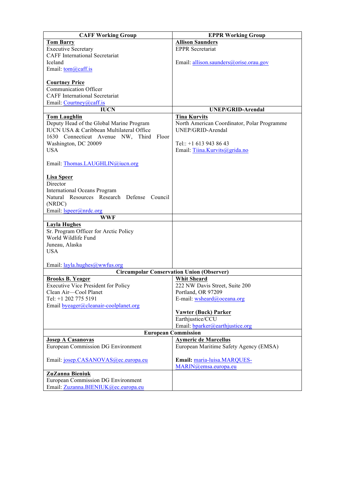| <b>CAFF Working Group</b>                                             | <b>EPPR Working Group</b>                                             |
|-----------------------------------------------------------------------|-----------------------------------------------------------------------|
| <b>Tom Barry</b>                                                      | <b>Allison Saunders</b>                                               |
| <b>Executive Secretary</b>                                            | <b>EPPR</b> Secretariat                                               |
| <b>CAFF</b> International Secretariat                                 |                                                                       |
| Iceland                                                               | Email: allison.saunders@orise.orau.gov                                |
| Email: tom@caff.is                                                    |                                                                       |
|                                                                       |                                                                       |
| <b>Courtney Price</b>                                                 |                                                                       |
| <b>Communication Officer</b>                                          |                                                                       |
| <b>CAFF</b> International Secretariat                                 |                                                                       |
| Email: Courtney@caff.is                                               |                                                                       |
| <b>IUCN</b>                                                           | <b>UNEP/GRID-Arendal</b>                                              |
| <b>Tom Laughlin</b>                                                   | <b>Tina Kurvits</b>                                                   |
| Deputy Head of the Global Marine Program                              | North American Coordinator, Polar Programme                           |
| IUCN USA & Caribbean Multilateral Office                              | UNEP/GRID-Arendal                                                     |
| 1630 Connecticut Avenue NW, Third<br><b>Floor</b>                     |                                                                       |
| Washington, DC 20009                                                  | Tel:: $+1$ 613 943 86 43                                              |
| <b>USA</b>                                                            | Email: Tiina.Kurvits@grida.no                                         |
|                                                                       |                                                                       |
| Email: Thomas.LAUGHLIN@iucn.org                                       |                                                                       |
|                                                                       |                                                                       |
| <b>Lisa Speer</b><br>Director                                         |                                                                       |
| <b>International Oceans Program</b>                                   |                                                                       |
| Natural Resources Research Defense Council                            |                                                                       |
| (NRDC)                                                                |                                                                       |
| Email: <i>Ispeer@nrdc.org</i>                                         |                                                                       |
| <b>WWF</b>                                                            |                                                                       |
| <b>Layla Hughes</b>                                                   |                                                                       |
| Sr. Program Officer for Arctic Policy                                 |                                                                       |
| World Wildlife Fund                                                   |                                                                       |
| Juneau, Alaska                                                        |                                                                       |
| <b>USA</b>                                                            |                                                                       |
|                                                                       |                                                                       |
| Email: layla.hughes@wwfus.org                                         |                                                                       |
|                                                                       | <b>Circumpolar Conservation Union (Observer)</b>                      |
| <b>Brooks B. Yeager</b>                                               | <b>Whit Sheard</b>                                                    |
| <b>Executive Vice President for Policy</b>                            | 222 NW Davis Street, Suite 200                                        |
| Clean Air-Cool Planet                                                 | Portland, OR 97209                                                    |
| Tel: +1 202 775 5191                                                  | E-mail: wsheard@oceana.org                                            |
| Email byeager@cleanair-coolplanet.org                                 |                                                                       |
|                                                                       | <b>Vawter (Buck) Parker</b>                                           |
|                                                                       | Earthjustice/CCU                                                      |
|                                                                       | Email: bparker@earthjustice.org                                       |
|                                                                       | <b>European Commission</b>                                            |
| <b>Josep A Casanovas</b><br><b>European Commission DG Environment</b> | <b>Aymeric de Marcellus</b><br>European Maritime Safety Agency (EMSA) |
|                                                                       |                                                                       |
| Email: josep.CASANOVAS@ec.europa.eu                                   | Email: maria-luisa.MARQUES-                                           |
|                                                                       | MARIN@emsa.europa.eu                                                  |
| ZuZanna Bieniuk                                                       |                                                                       |
| <b>European Commission DG Environment</b>                             |                                                                       |
| Email: Zuzanna.BIENIUK@ec.europa.eu                                   |                                                                       |
|                                                                       |                                                                       |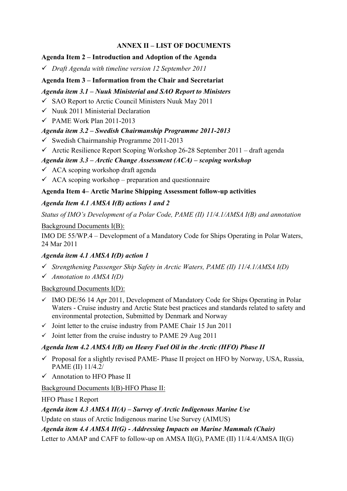# **ANNEX II – LIST OF DOCUMENTS**

# **Agenda Item 2 – Introduction and Adoption of the Agenda**

" *Draft Agenda with timeline version 12 September 2011*

# **Agenda Item 3 – Information from the Chair and Secretariat**

# *Agenda item 3.1 – Nuuk Ministerial and SAO Report to Ministers*

- $\checkmark$  SAO Report to Arctic Council Ministers Nuuk May 2011
- $\checkmark$  Nuuk 2011 Ministerial Declaration
- $\checkmark$  PAME Work Plan 2011-2013

# *Agenda item 3.2 – Swedish Chairmanship Programme 2011-2013*

- $\checkmark$  Swedish Chairmanship Programme 2011-2013
- $\checkmark$  Arctic Resilience Report Scoping Workshop 26-28 September 2011 draft agenda

# *Agenda item 3.3 – Arctic Change Assessment (ACA) – scoping workshop*

- $\checkmark$  ACA scoping workshop draft agenda
- $\checkmark$  ACA scoping workshop preparation and questionnaire

# **Agenda Item 4– Arctic Marine Shipping Assessment follow-up activities**

# *Agenda Item 4.1 AMSA I(B) actions 1 and 2*

*Status of IMO's Development of a Polar Code, PAME (II) 11/4.1/AMSA I(B) and annotation*

# Background Documents I(B):

IMO DE 55/WP.4 – Development of a Mandatory Code for Ships Operating in Polar Waters, 24 Mar 2011

# *Agenda item 4.1 AMSA I(D) action 1*

- " *Strengthening Passenger Ship Safety in Arctic Waters, PAME (II) 11/4.1/AMSA I(D)*
- " *Annotation to AMSA I(D)*

Background Documents I(D):

- $\checkmark$  IMO DE/56 14 Apr 2011, Development of Mandatory Code for Ships Operating in Polar Waters - Cruise industry and Arctic State best practices and standards related to safety and environmental protection, Submitted by Denmark and Norway
- $\checkmark$  Joint letter to the cruise industry from PAME Chair 15 Jun 2011
- $\checkmark$  Joint letter from the cruise industry to PAME 29 Aug 2011

# *Agenda Item 4.2 AMSA I(B) on Heavy Fuel Oil in the Arctic (HFO) Phase II*

- $\checkmark$  Proposal for a slightly revised PAME- Phase II project on HFO by Norway, USA, Russia, PAME (II) 11/4.2/
- $\checkmark$  Annotation to HFO Phase II

# Background Documents I(B)-HFO Phase II:

# HFO Phase I Report

*Agenda item 4.3 AMSA II(A) – Survey of Arctic Indigenous Marine Use*

Update on staus of Arctic Indigenous marine Use Survey (AIMUS)

*Agenda item 4.4 AMSA II(G) - Addressing Impacts on Marine Mammals (Chair)*

Letter to AMAP and CAFF to follow-up on AMSA II(G), PAME (II) 11/4.4/AMSA II(G)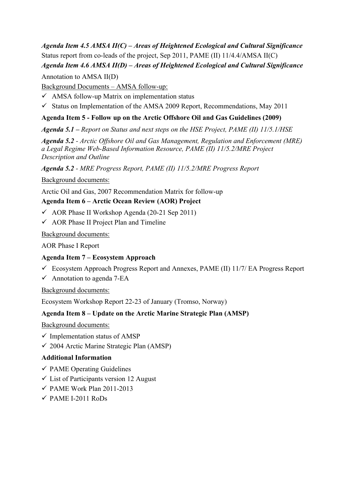# *Agenda Item 4.5 AMSA II(C) – Areas of Heightened Ecological and Cultural Significance* Status report from co-leads of the project, Sep 2011, PAME (II) 11/4.4/AMSA II(C) *Agenda Item 4.6 AMSA II(D) – Areas of Heightened Ecological and Cultural Significance*

Annotation to AMSA II(D)

Background Documents – AMSA follow-up:

 $\checkmark$  AMSA follow-up Matrix on implementation status

 $\checkmark$  Status on Implementation of the AMSA 2009 Report, Recommendations, May 2011

# **Agenda Item 5 - Follow up on the Arctic Offshore Oil and Gas Guidelines (2009)**

## *Agenda 5.1 – Report on Status and next steps on the HSE Project, PAME (II) 11/5.1/HSE*

*Agenda 5.2 - Arctic Offshore Oil and Gas Management, Regulation and Enforcement (MRE) a Legal Regime Web-Based Information Resource, PAME (II) 11/5.2/MRE Project Description and Outline*

*Agenda 5.2 - MRE Progress Report, PAME (II) 11/5.2/MRE Progress Report*

Background documents:

Arctic Oil and Gas, 2007 Recommendation Matrix for follow-up

# **Agenda Item 6 – Arctic Ocean Review (AOR) Project**

- $\checkmark$  AOR Phase II Workshop Agenda (20-21 Sep 2011)
- $\checkmark$  AOR Phase II Project Plan and Timeline

Background documents:

AOR Phase I Report

## **Agenda Item 7 – Ecosystem Approach**

- $\checkmark$  Ecosystem Approach Progress Report and Annexes, PAME (II) 11/7/ EA Progress Report
- $\checkmark$  Annotation to agenda 7-EA

Background documents:

Ecosystem Workshop Report 22-23 of January (Tromso, Norway)

## **Agenda Item 8 – Update on the Arctic Marine Strategic Plan (AMSP)**

Background documents:

- $\checkmark$  Implementation status of AMSP
- $\checkmark$  2004 Arctic Marine Strategic Plan (AMSP)

## **Additional Information**

- $\checkmark$  PAME Operating Guidelines
- $\checkmark$  List of Participants version 12 August
- $\checkmark$  PAME Work Plan 2011-2013
- $\checkmark$  PAME I-2011 RoDs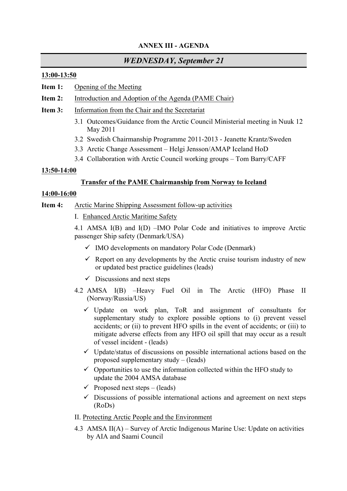## **ANNEX III - AGENDA**

# *WEDNESDAY, September 21*

#### **13:00-13:50**

- **Item 1:** Opening of the Meeting
- **Item 2:** Introduction and Adoption of the Agenda (PAME Chair)
- **Item 3:** Information from the Chair and the Secretariat
	- 3.1 Outcomes/Guidance from the Arctic Council Ministerial meeting in Nuuk 12 May 2011
	- 3.2 Swedish Chairmanship Programme 2011-2013 Jeanette Krantz/Sweden
	- 3.3 Arctic Change Assessment Helgi Jensson/AMAP Iceland HoD
	- 3.4 Collaboration with Arctic Council working groups Tom Barry/CAFF

## **13:50-14:00**

## **Transfer of the PAME Chairmanship from Norway to Iceland**

## **14:00-16:00**

#### **Item 4:** Arctic Marine Shipping Assessment follow-up activities

I. Enhanced Arctic Maritime Safety

4.1 AMSA I(B) and I(D) –IMO Polar Code and initiatives to improve Arctic passenger Ship safety (Denmark/USA)

- $\checkmark$  IMO developments on mandatory Polar Code (Denmark)
- $\checkmark$  Report on any developments by the Arctic cruise tourism industry of new or updated best practice guidelines (leads)
- $\checkmark$  Discussions and next steps
- 4.2 AMSA I(B) –Heavy Fuel Oil in The Arctic (HFO) Phase II (Norway/Russia/US)
	- $\checkmark$  Update on work plan, ToR and assignment of consultants for supplementary study to explore possible options to (i) prevent vessel accidents; or (ii) to prevent HFO spills in the event of accidents; or (iii) to mitigate adverse effects from any HFO oil spill that may occur as a result of vessel incident - (leads)
	- $\checkmark$  Update/status of discussions on possible international actions based on the proposed supplementary study – (leads)
	- $\checkmark$  Opportunities to use the information collected within the HFO study to update the 2004 AMSA database
	- $\checkmark$  Proposed next steps (leads)
	- $\checkmark$  Discussions of possible international actions and agreement on next steps (RoDs)

## II. Protecting Arctic People and the Environment

4.3 AMSA II(A) – Survey of Arctic Indigenous Marine Use: Update on activities by AIA and Saami Council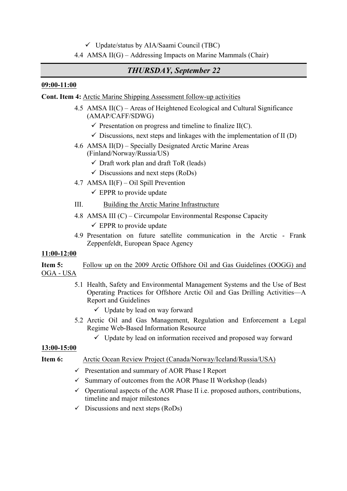$\checkmark$  Update/status by AIA/Saami Council (TBC)

## 4.4 AMSA II(G) – Addressing Impacts on Marine Mammals (Chair)

# *THURSDAY, September 22*

#### **09:00-11:00**

**Cont. Item 4:** Arctic Marine Shipping Assessment follow-up activities

- 4.5 AMSA II(C) Areas of Heightened Ecological and Cultural Significance (AMAP/CAFF/SDWG)
	- $\checkmark$  Presentation on progress and timeline to finalize II(C).
	- $\checkmark$  Discussions, next steps and linkages with the implementation of II (D)
- 4.6 AMSA II(D) Specially Designated Arctic Marine Areas (Finland/Norway/Russia/US)
	- $\checkmark$  Draft work plan and draft ToR (leads)
	- $\checkmark$  Discussions and next steps (RoDs)
- 4.7 AMSA II(F) Oil Spill Prevention
	- $\checkmark$  EPPR to provide update
- III. Building the Arctic Marine Infrastructure
- 4.8 AMSA III (C) Circumpolar Environmental Response Capacity  $\checkmark$  EPPR to provide update
- 4.9 Presentation on future satellite communication in the Arctic Frank Zeppenfeldt, European Space Agency

## **11:00-12:00**

**Item 5:** Follow up on the 2009 Arctic Offshore Oil and Gas Guidelines (OOGG) and OGA - USA

- 5.1 Health, Safety and Environmental Management Systems and the Use of Best Operating Practices for Offshore Arctic Oil and Gas Drilling Activities—A Report and Guidelines
	- $\checkmark$  Update by lead on way forward
- 5.2 Arctic Oil and Gas Management, Regulation and Enforcement a Legal Regime Web-Based Information Resource
	- $\checkmark$  Update by lead on information received and proposed way forward

## **13:00-15:00**

## **Item 6:** Arctic Ocean Review Project (Canada/Norway/Iceland/Russia/USA)

- $\checkmark$  Presentation and summary of AOR Phase I Report
- $\checkmark$  Summary of outcomes from the AOR Phase II Workshop (leads)
- $\checkmark$  Operational aspects of the AOR Phase II i.e. proposed authors, contributions, timeline and major milestones
- $\checkmark$  Discussions and next steps (RoDs)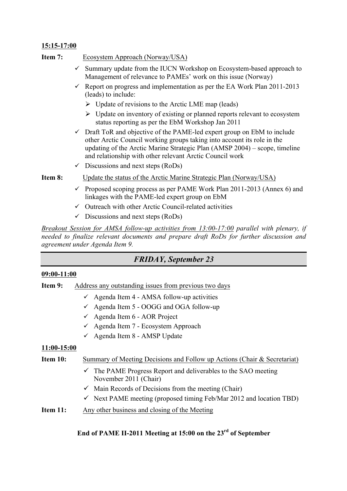## **15:15-17:00**

- **Item 7:** Ecosystem Approach (Norway/USA)
	- $\checkmark$  Summary update from the IUCN Workshop on Ecosystem-based approach to Management of relevance to PAMEs' work on this issue (Norway)
	- Report on progress and implementation as per the EA Work Plan  $2011$ - $2013$ (leads) to include:
		- $\triangleright$  Update of revisions to the Arctic LME map (leads)
		- $\triangleright$  Update on inventory of existing or planned reports relevant to ecosystem status reporting as per the EbM Workshop Jan 2011
	- $\checkmark$  Draft ToR and objective of the PAME-led expert group on EbM to include other Arctic Council working groups taking into account its role in the updating of the Arctic Marine Strategic Plan (AMSP 2004) – scope, timeline and relationship with other relevant Arctic Council work
	- $\checkmark$  Discussions and next steps (RoDs)
- **Item 8:** Update the status of the Arctic Marine Strategic Plan (Norway/USA)
	- $\checkmark$  Proposed scoping process as per PAME Work Plan 2011-2013 (Annex 6) and linkages with the PAME-led expert group on EbM
	- $\checkmark$  Outreach with other Arctic Council-related activities
	- $\checkmark$  Discussions and next steps (RoDs)

*Breakout Session for AMSA follow-up activities from 13:00-17:00 parallel with plenary, if needed to finalize relevant documents and prepare draft RoDs for further discussion and agreement under Agenda Item 9.*

# *FRIDAY, September 23*

#### **09:00-11:00**

- **Item 9:** Address any outstanding issues from previous two days
	- $\checkmark$  Agenda Item 4 AMSA follow-up activities
	- $\checkmark$  Agenda Item 5 OOGG and OGA follow-up
	- $\checkmark$  Agenda Item 6 AOR Project
	- $\checkmark$  Agenda Item 7 Ecosystem Approach
	- $\checkmark$  Agenda Item 8 AMSP Update

#### **11:00-15:00**

#### **Item 10:** Summary of Meeting Decisions and Follow up Actions (Chair & Secretariat)

- $\checkmark$  The PAME Progress Report and deliverables to the SAO meeting November 2011 (Chair)
- $\checkmark$  Main Records of Decisions from the meeting (Chair)
- $\checkmark$  Next PAME meeting (proposed timing Feb/Mar 2012 and location TBD)
- **Item 11:** Any other business and closing of the Meeting

## **End of PAME II-2011 Meeting at 15:00 on the 23rd of September**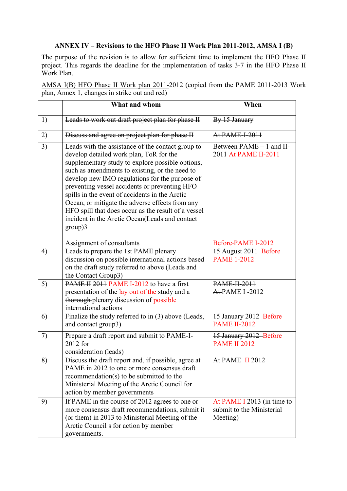## **ANNEX IV – Revisions to the HFO Phase II Work Plan 2011-2012, AMSA I (B)**

The purpose of the revision is to allow for sufficient time to implement the HFO Phase II project. This regards the deadline for the implementation of tasks 3-7 in the HFO Phase II Work Plan.

AMSA I(B) HFO Phase II Work plan 2011-2012 (copied from the PAME 2011-2013 Work plan, Annex 1, changes in strike out and red)

|    | What and whom                                                                                                                                                                                                                                                                                                                                                                                                                                                                                                                  | When                                                                |
|----|--------------------------------------------------------------------------------------------------------------------------------------------------------------------------------------------------------------------------------------------------------------------------------------------------------------------------------------------------------------------------------------------------------------------------------------------------------------------------------------------------------------------------------|---------------------------------------------------------------------|
| 1) | Leads to work out draft project plan for phase II                                                                                                                                                                                                                                                                                                                                                                                                                                                                              | By 15 January                                                       |
| 2) | Discuss and agree on project plan for phase II                                                                                                                                                                                                                                                                                                                                                                                                                                                                                 | At PAME-I-2011                                                      |
| 3) | Leads with the assistance of the contact group to<br>develop detailed work plan, ToR for the<br>supplementary study to explore possible options,<br>such as amendments to existing, or the need to<br>develop new IMO regulations for the purpose of<br>preventing vessel accidents or preventing HFO<br>spills in the event of accidents in the Arctic<br>Ocean, or mitigate the adverse effects from any<br>HFO spill that does occur as the result of a vessel<br>incident in the Arctic Ocean(Leads and contact<br>group)3 | Between PAME 1 and II-<br>2011 At PAME II-2011                      |
|    | Assignment of consultants                                                                                                                                                                                                                                                                                                                                                                                                                                                                                                      | Before-PAME I-2012                                                  |
| 4) | Leads to prepare the 1st PAME plenary<br>discussion on possible international actions based<br>on the draft study referred to above (Leads and<br>the Contact Group3)                                                                                                                                                                                                                                                                                                                                                          | 15 August 2011 Before<br><b>PAME 1-2012</b>                         |
| 5) | PAME II 2011 PAME I-2012 to have a first<br>presentation of the lay out of the study and a<br>thorough-plenary discussion of possible<br>international actions                                                                                                                                                                                                                                                                                                                                                                 | <b>PAME-II-2011</b><br><b>At-PAME I-2012</b>                        |
| 6) | Finalize the study referred to in (3) above (Leads,<br>and contact group3)                                                                                                                                                                                                                                                                                                                                                                                                                                                     | 15 January 2012 Before<br><b>PAME II-2012</b>                       |
| 7) | Prepare a draft report and submit to PAME-I-<br>2012 for<br>consideration (leads)                                                                                                                                                                                                                                                                                                                                                                                                                                              | 15 January 2012 Before<br><b>PAME II 2012</b>                       |
| 8) | Discuss the draft report and, if possible, agree at<br>PAME in 2012 to one or more consensus draft<br>recommendation(s) to be submitted to the<br>Ministerial Meeting of the Arctic Council for<br>action by member governments                                                                                                                                                                                                                                                                                                | At PAME II 2012                                                     |
| 9) | If PAME in the course of 2012 agrees to one or<br>more consensus draft recommendations, submit it<br>(or them) in 2013 to Ministerial Meeting of the<br>Arctic Council s for action by member<br>governments.                                                                                                                                                                                                                                                                                                                  | At PAME I 2013 (in time to<br>submit to the Ministerial<br>Meeting) |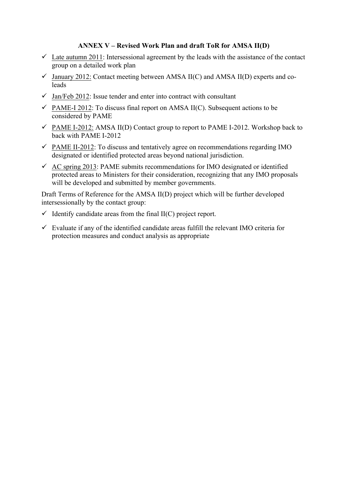#### **ANNEX V – Revised Work Plan and draft ToR for AMSA II(D)**

- $\checkmark$  Late autumn 2011: Intersessional agreement by the leads with the assistance of the contact group on a detailed work plan
- $\checkmark$  January 2012: Contact meeting between AMSA II(C) and AMSA II(D) experts and coleads
- $\checkmark$  Jan/Feb 2012: Issue tender and enter into contract with consultant
- $\checkmark$  PAME-I 2012: To discuss final report on AMSA II(C). Subsequent actions to be considered by PAME
- $\checkmark$  PAME I-2012: AMSA II(D) Contact group to report to PAME I-2012. Workshop back to back with PAME I-2012
- $\checkmark$  PAME II-2012: To discuss and tentatively agree on recommendations regarding IMO designated or identified protected areas beyond national jurisdiction.
- $\checkmark$  AC spring 2013: PAME submits recommendations for IMO designated or identified protected areas to Ministers for their consideration, recognizing that any IMO proposals will be developed and submitted by member governments.

Draft Terms of Reference for the AMSA II(D) project which will be further developed intersessionally by the contact group:

- $\checkmark$  Identify candidate areas from the final II(C) project report.
- $\checkmark$  Evaluate if any of the identified candidate areas fulfill the relevant IMO criteria for protection measures and conduct analysis as appropriate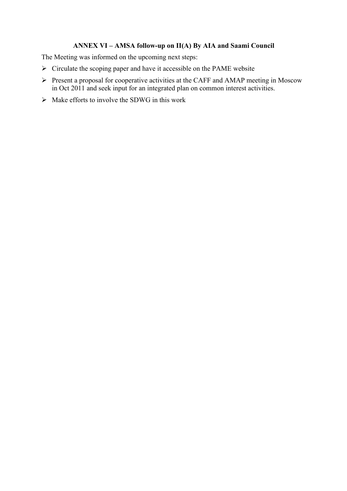## **ANNEX VI – AMSA follow-up on II(A) By AIA and Saami Council**

The Meeting was informed on the upcoming next steps:

- $\triangleright$  Circulate the scoping paper and have it accessible on the PAME website
- ! Present a proposal for cooperative activities at the CAFF and AMAP meeting in Moscow in Oct 2011 and seek input for an integrated plan on common interest activities.
- $\triangleright$  Make efforts to involve the SDWG in this work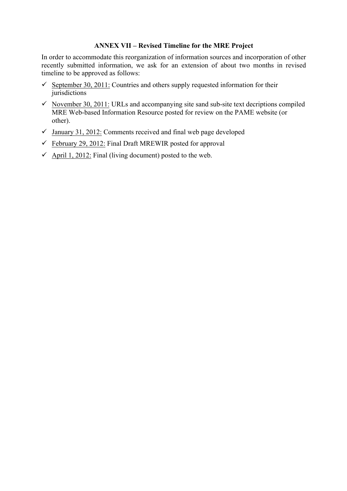#### **ANNEX VII – Revised Timeline for the MRE Project**

In order to accommodate this reorganization of information sources and incorporation of other recently submitted information, we ask for an extension of about two months in revised timeline to be approved as follows:

- September 30, 2011: Countries and others supply requested information for their jurisdictions
- $\checkmark$  November 30, 2011: URLs and accompanying site sand sub-site text decriptions compiled MRE Web-based Information Resource posted for review on the PAME website (or other).
- $\checkmark$  January 31, 2012: Comments received and final web page developed
- $\checkmark$  February 29, 2012: Final Draft MREWIR posted for approval
- $\checkmark$  April 1, 2012: Final (living document) posted to the web.